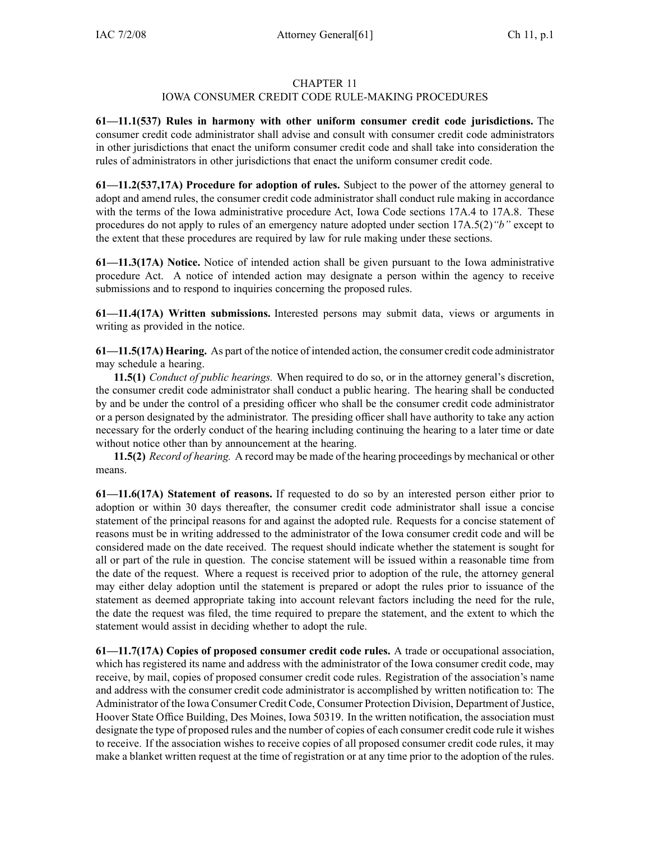### CHAPTER 11

## IOWA CONSUMER CREDIT CODE RULE-MAKING PROCEDURES

**61—11.1(537) Rules in harmony with other uniform consumer credit code jurisdictions.** The consumer credit code administrator shall advise and consult with consumer credit code administrators in other jurisdictions that enact the uniform consumer credit code and shall take into consideration the rules of administrators in other jurisdictions that enact the uniform consumer credit code.

**61—11.2(537,17A) Procedure for adoption of rules.** Subject to the power of the attorney general to adopt and amend rules, the consumer credit code administrator shall conduct rule making in accordance with the terms of the Iowa administrative procedure Act, Iowa Code sections 17A.4 to 17A.8. These procedures do not apply to rules of an emergency nature adopted under section 17A.5(2)*"b"* excep<sup>t</sup> to the extent that these procedures are required by law for rule making under these sections.

**61—11.3(17A) Notice.** Notice of intended action shall be given pursuan<sup>t</sup> to the Iowa administrative procedure Act. A notice of intended action may designate <sup>a</sup> person within the agency to receive submissions and to respond to inquiries concerning the proposed rules.

**61—11.4(17A) Written submissions.** Interested persons may submit data, views or arguments in writing as provided in the notice.

**61—11.5(17A) Hearing.** As par<sup>t</sup> of the notice of intended action, the consumer credit code administrator may schedule <sup>a</sup> hearing.

**11.5(1)** *Conduct of public hearings.* When required to do so, or in the attorney general's discretion, the consumer credit code administrator shall conduct <sup>a</sup> public hearing. The hearing shall be conducted by and be under the control of <sup>a</sup> presiding officer who shall be the consumer credit code administrator or <sup>a</sup> person designated by the administrator. The presiding officer shall have authority to take any action necessary for the orderly conduct of the hearing including continuing the hearing to <sup>a</sup> later time or date without notice other than by announcement at the hearing.

**11.5(2)** *Record of hearing.* A record may be made of the hearing proceedings by mechanical or other means.

**61—11.6(17A) Statement of reasons.** If requested to do so by an interested person either prior to adoption or within 30 days thereafter, the consumer credit code administrator shall issue <sup>a</sup> concise statement of the principal reasons for and against the adopted rule. Requests for <sup>a</sup> concise statement of reasons must be in writing addressed to the administrator of the Iowa consumer credit code and will be considered made on the date received. The reques<sup>t</sup> should indicate whether the statement is sought for all or par<sup>t</sup> of the rule in question. The concise statement will be issued within <sup>a</sup> reasonable time from the date of the request. Where <sup>a</sup> reques<sup>t</sup> is received prior to adoption of the rule, the attorney general may either delay adoption until the statement is prepared or adopt the rules prior to issuance of the statement as deemed appropriate taking into account relevant factors including the need for the rule, the date the reques<sup>t</sup> was filed, the time required to prepare the statement, and the extent to which the statement would assist in deciding whether to adopt the rule.

**61—11.7(17A) Copies of proposed consumer credit code rules.** A trade or occupational association, which has registered its name and address with the administrator of the Iowa consumer credit code, may receive, by mail, copies of proposed consumer credit code rules. Registration of the association's name and address with the consumer credit code administrator is accomplished by written notification to: The Administrator of the Iowa Consumer Credit Code, Consumer Protection Division, Department of Justice, Hoover State Office Building, Des Moines, Iowa 50319. In the written notification, the association must designate the type of proposed rules and the number of copies of each consumer credit code rule it wishes to receive. If the association wishes to receive copies of all proposed consumer credit code rules, it may make <sup>a</sup> blanket written reques<sup>t</sup> at the time of registration or at any time prior to the adoption of the rules.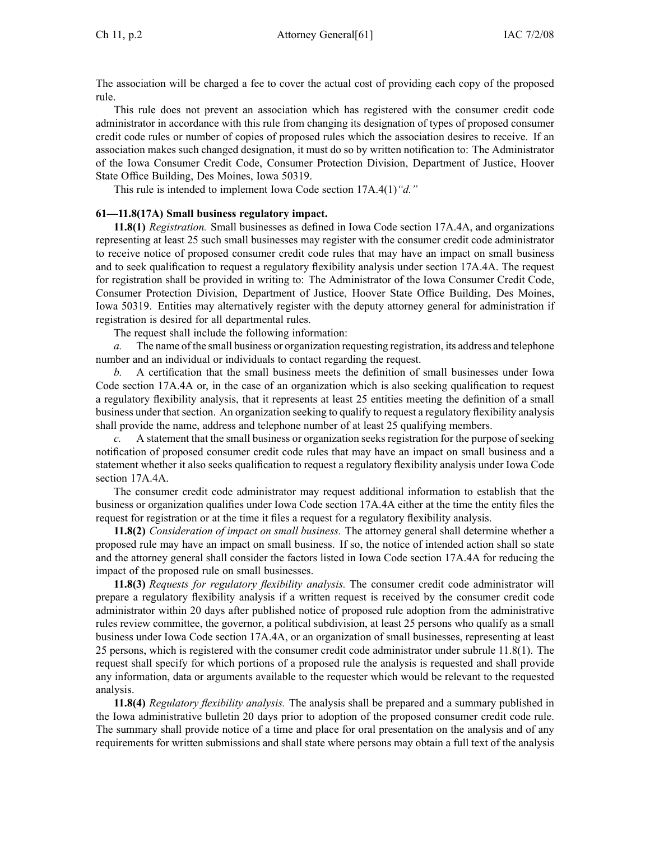The association will be charged <sup>a</sup> fee to cover the actual cost of providing each copy of the proposed rule.

This rule does not preven<sup>t</sup> an association which has registered with the consumer credit code administrator in accordance with this rule from changing its designation of types of proposed consumer credit code rules or number of copies of proposed rules which the association desires to receive. If an association makes such changed designation, it must do so by written notification to: The Administrator of the Iowa Consumer Credit Code, Consumer Protection Division, Department of Justice, Hoover State Office Building, Des Moines, Iowa 50319.

This rule is intended to implement Iowa Code section 17A.4(1)*"d."*

#### **61—11.8(17A) Small business regulatory impact.**

**11.8(1)** *Registration.* Small businesses as defined in Iowa Code section 17A.4A, and organizations representing at least 25 such small businesses may register with the consumer credit code administrator to receive notice of proposed consumer credit code rules that may have an impact on small business and to seek qualification to reques<sup>t</sup> <sup>a</sup> regulatory flexibility analysis under section 17A.4A. The reques<sup>t</sup> for registration shall be provided in writing to: The Administrator of the Iowa Consumer Credit Code, Consumer Protection Division, Department of Justice, Hoover State Office Building, Des Moines, Iowa 50319. Entities may alternatively register with the deputy attorney general for administration if registration is desired for all departmental rules.

The reques<sup>t</sup> shall include the following information:

*a.* The name of the small business or organization requesting registration, its address and telephone number and an individual or individuals to contact regarding the request.

*b.* A certification that the small business meets the definition of small businesses under Iowa Code section 17A.4A or, in the case of an organization which is also seeking qualification to reques<sup>t</sup> <sup>a</sup> regulatory flexibility analysis, that it represents at least 25 entities meeting the definition of <sup>a</sup> small business under that section. An organization seeking to qualify to reques<sup>t</sup> <sup>a</sup> regulatory flexibility analysis shall provide the name, address and telephone number of at least 25 qualifying members.

*c.* A statement that the small business or organization seeks registration for the purpose of seeking notification of proposed consumer credit code rules that may have an impact on small business and <sup>a</sup> statement whether it also seeks qualification to reques<sup>t</sup> <sup>a</sup> regulatory flexibility analysis under Iowa Code section 17A.4A.

The consumer credit code administrator may reques<sup>t</sup> additional information to establish that the business or organization qualifies under Iowa Code section 17A.4A either at the time the entity files the reques<sup>t</sup> for registration or at the time it files <sup>a</sup> reques<sup>t</sup> for <sup>a</sup> regulatory flexibility analysis.

**11.8(2)** *Consideration of impact on small business.* The attorney general shall determine whether <sup>a</sup> proposed rule may have an impact on small business. If so, the notice of intended action shall so state and the attorney general shall consider the factors listed in Iowa Code section 17A.4A for reducing the impact of the proposed rule on small businesses.

**11.8(3)** *Requests for regulatory flexibility analysis.* The consumer credit code administrator will prepare <sup>a</sup> regulatory flexibility analysis if <sup>a</sup> written reques<sup>t</sup> is received by the consumer credit code administrator within 20 days after published notice of proposed rule adoption from the administrative rules review committee, the governor, <sup>a</sup> political subdivision, at least 25 persons who qualify as <sup>a</sup> small business under Iowa Code section 17A.4A, or an organization of small businesses, representing at least 25 persons, which is registered with the consumer credit code administrator under subrule 11.8(1). The reques<sup>t</sup> shall specify for which portions of <sup>a</sup> proposed rule the analysis is requested and shall provide any information, data or arguments available to the requester which would be relevant to the requested analysis.

**11.8(4)** *Regulatory flexibility analysis.* The analysis shall be prepared and <sup>a</sup> summary published in the Iowa administrative bulletin 20 days prior to adoption of the proposed consumer credit code rule. The summary shall provide notice of <sup>a</sup> time and place for oral presentation on the analysis and of any requirements for written submissions and shall state where persons may obtain <sup>a</sup> full text of the analysis